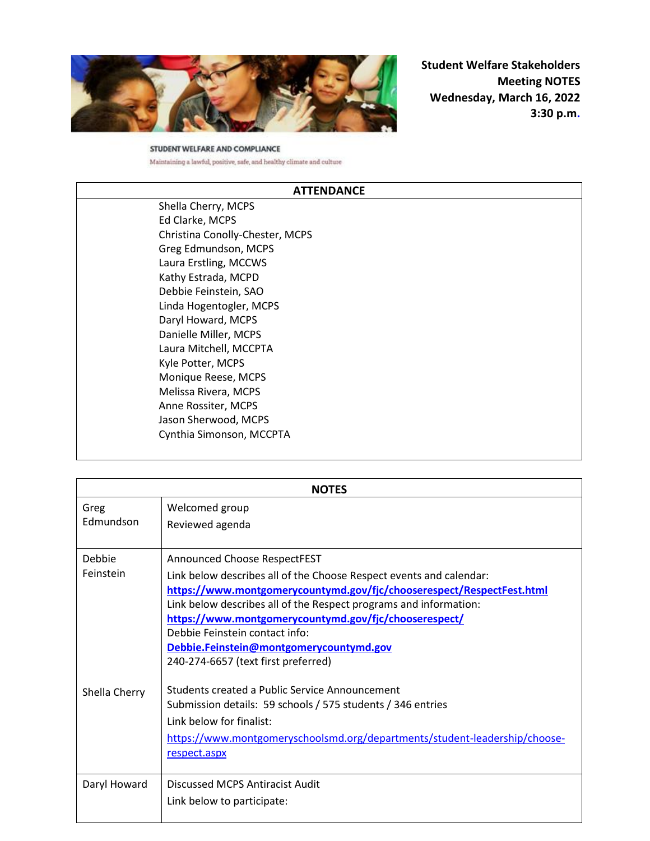

**Student Welfare Stakeholders Meeting NOTES Wednesday, March 16, 2022 3:30 p.m.** 

STUDENT WELFARE AND COMPLIANCE Maintaining a lawful, positive, safe, and healthy climate and culture

## **ATTENDANCE**

Shella Cherry, MCPS Ed Clarke, MCPS Christina Conolly-Chester, MCPS Greg Edmundson, MCPS Laura Erstling, MCCWS Kathy Estrada, MCPD Debbie Feinstein, SAO Linda Hogentogler, MCPS Daryl Howard, MCPS Danielle Miller, MCPS Laura Mitchell, MCCPTA Kyle Potter, MCPS Monique Reese, MCPS Melissa Rivera, MCPS Anne Rossiter, MCPS Jason Sherwood, MCPS Cynthia Simonson, MCCPTA

| <b>NOTES</b>        |                                                                                                                                                                                                                                                                                                                                                                                                                                                                                  |
|---------------------|----------------------------------------------------------------------------------------------------------------------------------------------------------------------------------------------------------------------------------------------------------------------------------------------------------------------------------------------------------------------------------------------------------------------------------------------------------------------------------|
| Greg<br>Edmundson   | Welcomed group<br>Reviewed agenda                                                                                                                                                                                                                                                                                                                                                                                                                                                |
| Debbie<br>Feinstein | Announced Choose RespectFEST<br>Link below describes all of the Choose Respect events and calendar:<br>https://www.montgomerycountymd.gov/fjc/chooserespect/RespectFest.html<br>Link below describes all of the Respect programs and information:<br>https://www.montgomerycountymd.gov/fjc/chooserespect/<br>Debbie Feinstein contact info:<br>Debbie.Feinstein@montgomerycountymd.gov<br>240-274-6657 (text first preferred)<br>Students created a Public Service Announcement |
| Shella Cherry       | Submission details: 59 schools / 575 students / 346 entries<br>Link below for finalist:<br>https://www.montgomeryschoolsmd.org/departments/student-leadership/choose-<br>respect.aspx                                                                                                                                                                                                                                                                                            |
| Daryl Howard        | Discussed MCPS Antiracist Audit<br>Link below to participate:                                                                                                                                                                                                                                                                                                                                                                                                                    |